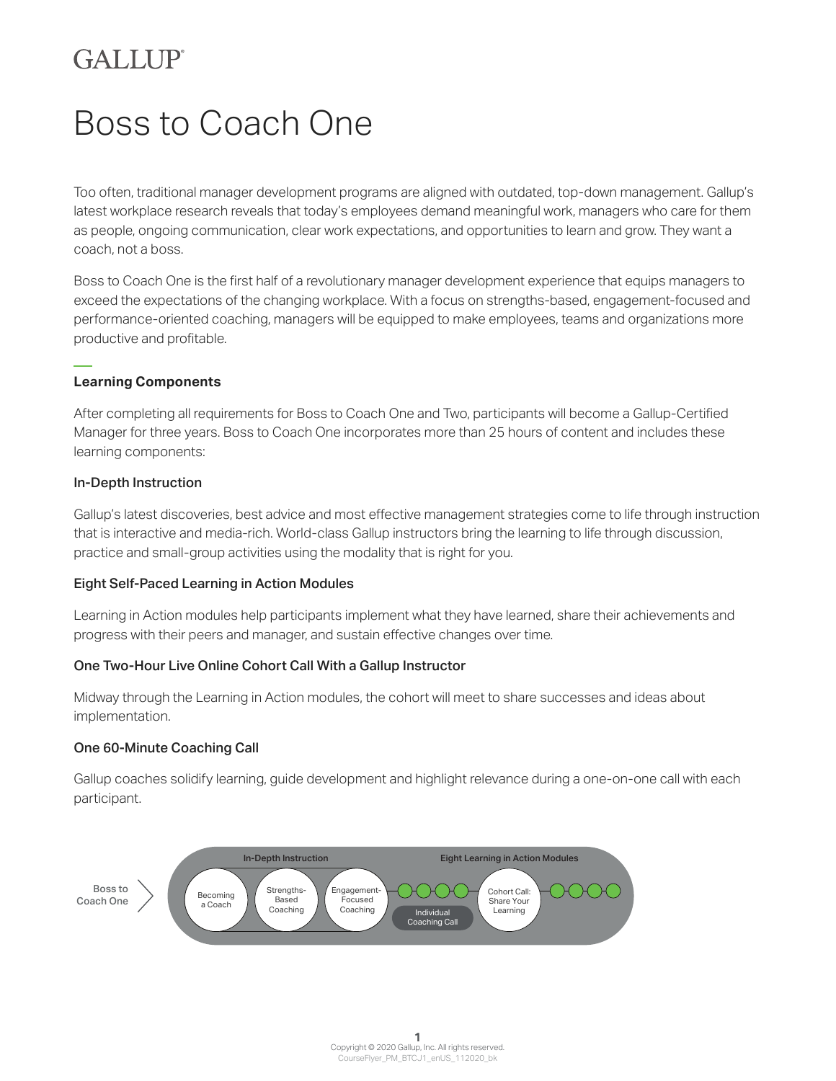# **GALLIP**

# Boss to Coach One

Too often, traditional manager development programs are aligned with outdated, top-down management. Gallup's latest workplace research reveals that today's employees demand meaningful work, managers who care for them as people, ongoing communication, clear work expectations, and opportunities to learn and grow. They want a coach, not a boss.

Boss to Coach One is the first half of a revolutionary manager development experience that equips managers to exceed the expectations of the changing workplace. With a focus on strengths-based, engagement-focused and performance-oriented coaching, managers will be equipped to make employees, teams and organizations more productive and profitable.

# **Learning Components**

After completing all requirements for Boss to Coach One and Two, participants will become a Gallup-Certified Manager for three years. Boss to Coach One incorporates more than 25 hours of content and includes these learning components:

# In-Depth Instruction

Gallup's latest discoveries, best advice and most effective management strategies come to life through instruction that is interactive and media-rich. World-class Gallup instructors bring the learning to life through discussion, practice and small-group activities using the modality that is right for you.

# Eight Self-Paced Learning in Action Modules

Learning in Action modules help participants implement what they have learned, share their achievements and progress with their peers and manager, and sustain effective changes over time.

# One Two-Hour Live Online Cohort Call With a Gallup Instructor

Midway through the Learning in Action modules, the cohort will meet to share successes and ideas about implementation.

# One 60-Minute Coaching Call

Gallup coaches solidify learning, guide development and highlight relevance during a one-on-one call with each participant.

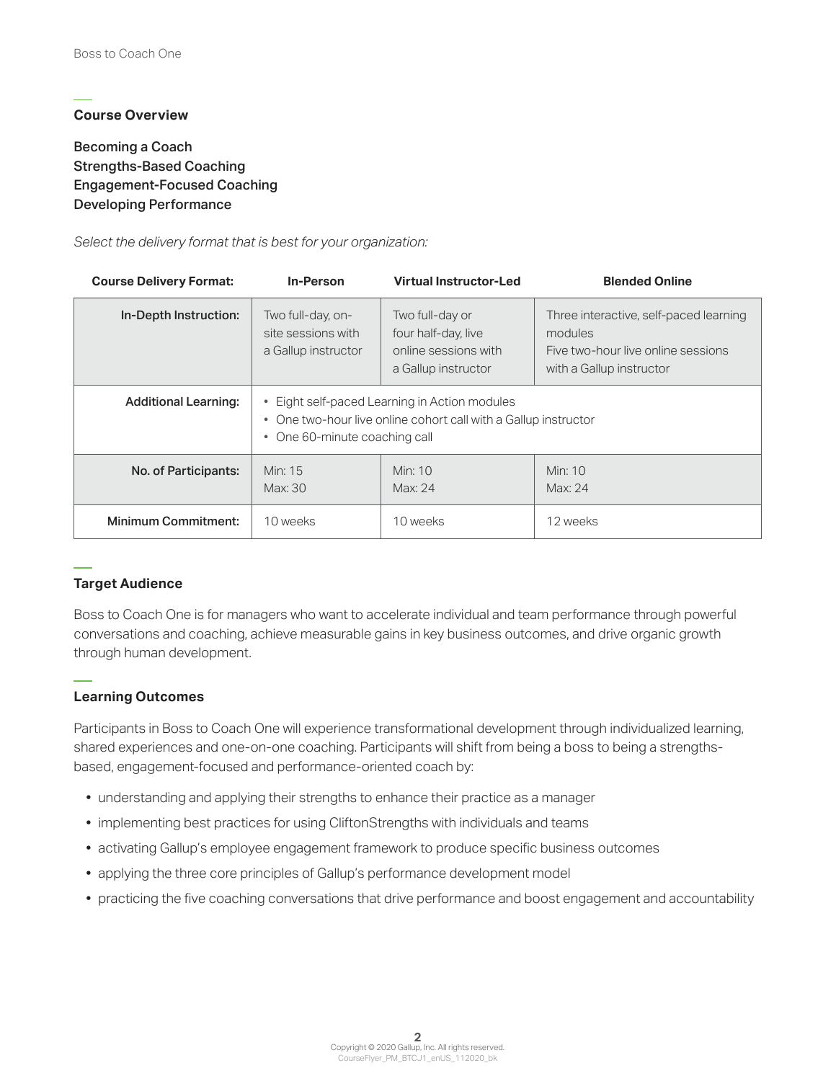# **Course Overview**

Becoming a Coach Strengths-Based Coaching Engagement-Focused Coaching Developing Performance

*Select the delivery format that is best for your organization:*

| <b>Course Delivery Format:</b> | In-Person                                                                                                                                         | <b>Virtual Instructor-Led</b>                                                         | <b>Blended Online</b>                                                                                               |
|--------------------------------|---------------------------------------------------------------------------------------------------------------------------------------------------|---------------------------------------------------------------------------------------|---------------------------------------------------------------------------------------------------------------------|
| In-Depth Instruction:          | Two full-day, on-<br>site sessions with<br>a Gallup instructor                                                                                    | Two full-day or<br>four half-day, live<br>online sessions with<br>a Gallup instructor | Three interactive, self-paced learning<br>modules<br>Five two-hour live online sessions<br>with a Gallup instructor |
| <b>Additional Learning:</b>    | • Eight self-paced Learning in Action modules<br>• One two-hour live online cohort call with a Gallup instructor<br>• One 60-minute coaching call |                                                                                       |                                                                                                                     |
| No. of Participants:           | Min: 15<br>Max: 30                                                                                                                                | Min: $10$<br>Max: 24                                                                  | Min: 10<br>Max: 24                                                                                                  |
| <b>Minimum Commitment:</b>     | 10 weeks                                                                                                                                          | 10 weeks                                                                              | 12 weeks                                                                                                            |

# **Target Audience**

Boss to Coach One is for managers who want to accelerate individual and team performance through powerful conversations and coaching, achieve measurable gains in key business outcomes, and drive organic growth through human development.

# **Learning Outcomes**

Participants in Boss to Coach One will experience transformational development through individualized learning, shared experiences and one-on-one coaching. Participants will shift from being a boss to being a strengthsbased, engagement-focused and performance-oriented coach by:

- understanding and applying their strengths to enhance their practice as a manager
- implementing best practices for using CliftonStrengths with individuals and teams
- activating Gallup's employee engagement framework to produce specific business outcomes
- applying the three core principles of Gallup's performance development model
- practicing the five coaching conversations that drive performance and boost engagement and accountability